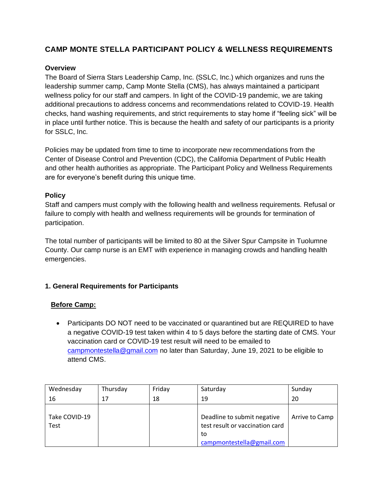## **CAMP MONTE STELLA PARTICIPANT POLICY & WELLNESS REQUIREMENTS**

#### **Overview**

The Board of Sierra Stars Leadership Camp, Inc. (SSLC, Inc.) which organizes and runs the leadership summer camp, Camp Monte Stella (CMS), has always maintained a participant wellness policy for our staff and campers. In light of the COVID-19 pandemic, we are taking additional precautions to address concerns and recommendations related to COVID-19. Health checks, hand washing requirements, and strict requirements to stay home if "feeling sick" will be in place until further notice. This is because the health and safety of our participants is a priority for SSLC, Inc.

Policies may be updated from time to time to incorporate new recommendations from the Center of Disease Control and Prevention (CDC), the California Department of Public Health and other health authorities as appropriate. The Participant Policy and Wellness Requirements are for everyone's benefit during this unique time.

#### **Policy**

Staff and campers must comply with the following health and wellness requirements. Refusal or failure to comply with health and wellness requirements will be grounds for termination of participation.

The total number of participants will be limited to 80 at the Silver Spur Campsite in Tuolumne County. Our camp nurse is an EMT with experience in managing crowds and handling health emergencies.

### **1. General Requirements for Participants**

### **Before Camp:**

• Participants DO NOT need to be vaccinated or quarantined but are REQUIRED to have a negative COVID-19 test taken within 4 to 5 days before the starting date of CMS. Your vaccination card or COVID-19 test result will need to be emailed to [campmontestella@gmail.com](mailto:campmontestella@gmail.com) no later than Saturday, June 19, 2021 to be eligible to attend CMS.

| Wednesday                    | Thursday | Friday | Saturday                                                                                          | Sunday         |
|------------------------------|----------|--------|---------------------------------------------------------------------------------------------------|----------------|
| 16                           | 17       | 18     | 19                                                                                                | 20             |
| Take COVID-19<br><b>Test</b> |          |        | Deadline to submit negative<br>test result or vaccination card<br>to<br>campmontestella@gmail.com | Arrive to Camp |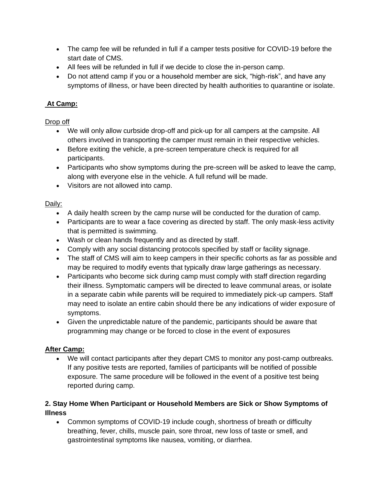- The camp fee will be refunded in full if a camper tests positive for COVID-19 before the start date of CMS.
- All fees will be refunded in full if we decide to close the in-person camp.
- Do not attend camp if you or a household member are sick, "high-risk", and have any symptoms of illness, or have been directed by health authorities to quarantine or isolate.

# **At Camp:**

Drop off

- We will only allow curbside drop-off and pick-up for all campers at the campsite. All others involved in transporting the camper must remain in their respective vehicles.
- Before exiting the vehicle, a pre-screen temperature check is required for all participants.
- Participants who show symptoms during the pre-screen will be asked to leave the camp, along with everyone else in the vehicle. A full refund will be made.
- Visitors are not allowed into camp.

Daily:

- A daily health screen by the camp nurse will be conducted for the duration of camp.
- Participants are to wear a face covering as directed by staff. The only mask-less activity that is permitted is swimming.
- Wash or clean hands frequently and as directed by staff.
- Comply with any social distancing protocols specified by staff or facility signage.
- The staff of CMS will aim to keep campers in their specific cohorts as far as possible and may be required to modify events that typically draw large gatherings as necessary.
- Participants who become sick during camp must comply with staff direction regarding their illness. Symptomatic campers will be directed to leave communal areas, or isolate in a separate cabin while parents will be required to immediately pick-up campers. Staff may need to isolate an entire cabin should there be any indications of wider exposure of symptoms.
- Given the unpredictable nature of the pandemic, participants should be aware that programming may change or be forced to close in the event of exposures

# **After Camp:**

• We will contact participants after they depart CMS to monitor any post-camp outbreaks. If any positive tests are reported, families of participants will be notified of possible exposure. The same procedure will be followed in the event of a positive test being reported during camp.

## **2. Stay Home When Participant or Household Members are Sick or Show Symptoms of Illness**

• Common symptoms of COVID-19 include cough, shortness of breath or difficulty breathing, fever, chills, muscle pain, sore throat, new loss of taste or smell, and gastrointestinal symptoms like nausea, vomiting, or diarrhea.